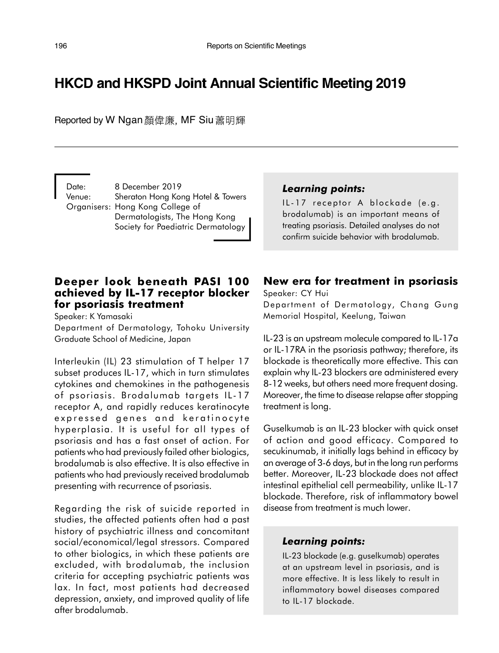# **HKCD and HKSPD Joint Annual Scientific Meeting 2019**

Reported by W Ngan 顏偉廉, MF Siu 蕭明輝

Date: 8 December 2019 Venue: Sheraton Hong Kong Hotel & Towers Organisers: Hong Kong College of Dermatologists, The Hong Kong Society for Paediatric Dermatology

#### Learning points:

IL-17 receptor A blockade (e.g. brodalumab) is an important means of treating psoriasis. Detailed analyses do not confirm suicide behavior with brodalumab.

#### Deeper look beneath PASI 100 achieved by IL-17 receptor blocker for psoriasis treatment

Speaker: K Yamasaki

Department of Dermatology, Tohoku University Graduate School of Medicine, Japan

Interleukin (IL) 23 stimulation of T helper 17 subset produces IL-17, which in turn stimulates cytokines and chemokines in the pathogenesis of psoriasis. Brodalumab targets IL-17 receptor A, and rapidly reduces keratinocyte expressed genes and keratinocyte hyperplasia. It is useful for all types of psoriasis and has a fast onset of action. For patients who had previously failed other biologics, brodalumab is also effective. It is also effective in patients who had previously received brodalumab presenting with recurrence of psoriasis.

Regarding the risk of suicide reported in studies, the affected patients often had a past history of psychiatric illness and concomitant social/economical/legal stressors. Compared to other biologics, in which these patients are excluded, with brodalumab, the inclusion criteria for accepting psychiatric patients was lax. In fact, most patients had decreased depression, anxiety, and improved quality of life after brodalumab.

## New era for treatment in psoriasis

Speaker: CY Hui Department of Dermatology, Chang Gung Memorial Hospital, Keelung, Taiwan

IL-23 is an upstream molecule compared to IL-17a or IL-17RA in the psoriasis pathway; therefore, its blockade is theoretically more effective. This can explain why IL-23 blockers are administered every 8-12 weeks, but others need more frequent dosing. Moreover, the time to disease relapse after stopping treatment is long.

Guselkumab is an IL-23 blocker with quick onset of action and good efficacy. Compared to secukinumab, it initially lags behind in efficacy by an average of 3-6 days, but in the long run performs better. Moreover, IL-23 blockade does not affect intestinal epithelial cell permeability, unlike IL-17 blockade. Therefore, risk of inflammatory bowel disease from treatment is much lower.

## Learning points:

IL-23 blockade (e.g. guselkumab) operates at an upstream level in psoriasis, and is more effective. It is less likely to result in inflammatory bowel diseases compared to IL-17 blockade.